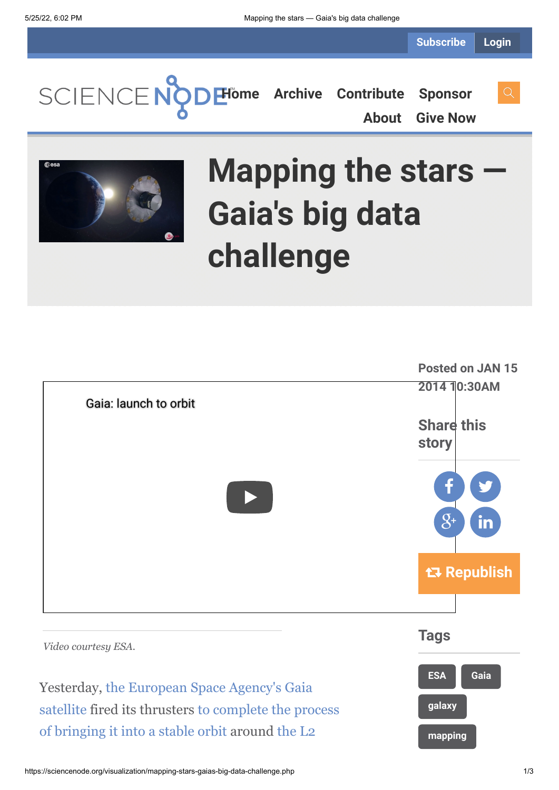**[Home](https://sciencenode.org/) [Archive](https://sciencenode.org/archive/index.php) [Contribute](https://sciencenode.org/contribute/index.php) [Sponsor](https://sciencenode.org/sponsor/index.php) [About](https://sciencenode.org/about/index.php) [Give Now](https://sciencenode.org/donate/index.php)**



# **Mapping the stars — Gaia's big data challenge**

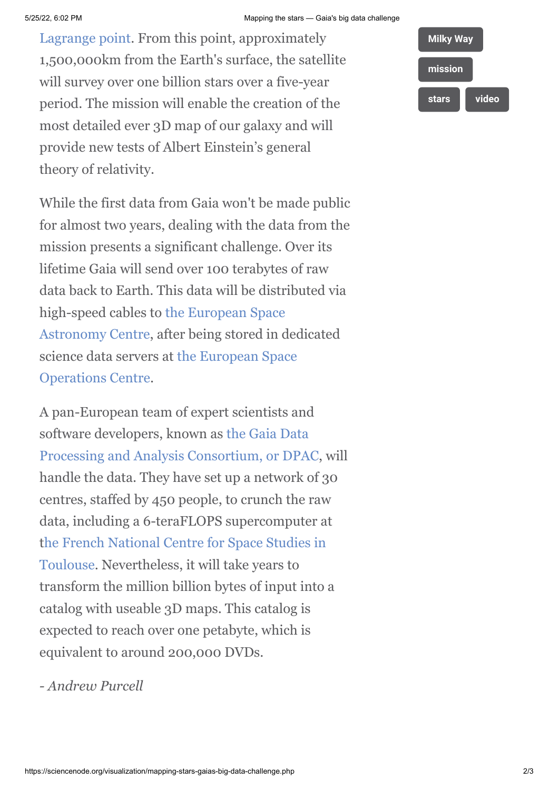[Lagrange point. From this point, approximatel](http://en.wikipedia.org/wiki/Lagrangian_point)y 1,500,000km from the Earth's surface, the satellite will survey over one billion stars over a five-year period. The mission will enable the creation of the most detailed ever 3D map of our galaxy and will provide new tests of Albert Einstein's general theory of relativity.

While the first data from Gaia won't be made public for almost two years, dealing with the data from the mission presents a significant challenge. Over its lifetime Gaia will send over 100 terabytes of raw data back to Earth. This data will be distributed via [high-speed cables to the European Space](http://www.esa.int/About_Us/ESAC) Astronomy Centre, after being stored in dedicated [science data servers at the European Space](http://www.esa.int/About_Us/ESOC) Operations Centre.

A pan-European team of expert scientists and software developers, known as the Gaia Data [Processing and Analysis Consortium, or DPAC](http://blogs.esa.int/gaia/2013/09/23/gaia-data-processing/), will handle the data. They have set up a network of 30 centres, staffed by 450 people, to crunch the raw data, including a 6-teraFLOPS supercomputer at [the French National Centre for Space Studies in](http://www.cnes.fr/web/CNES-en/7114-home-cnes.php) Toulouse. Nevertheless, it will take years to transform the million billion bytes of input into a catalog with useable 3D maps. This catalog is expected to reach over one petabyte, which is equivalent to around 200,000 DVDs.

*- Andrew Purcell*